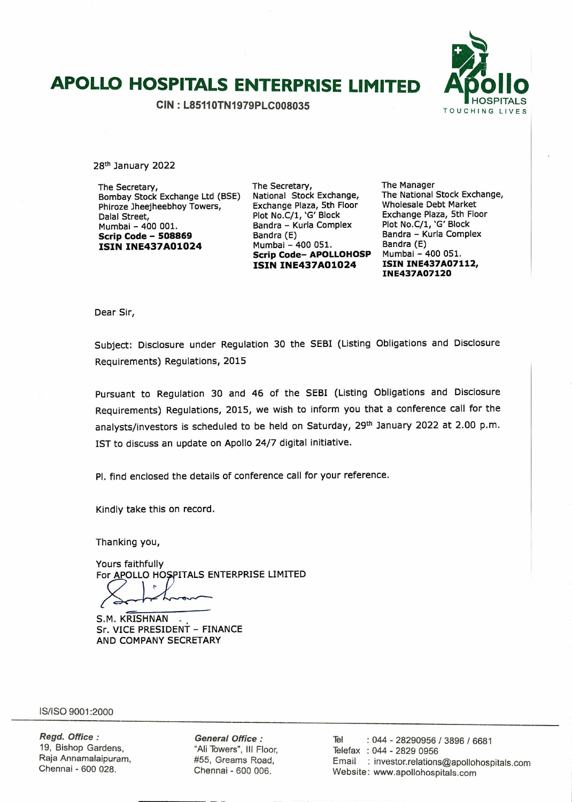# **APOLLO HOSPITALS ENTERPRISE LIMITED Atollo**

**CIN: L85110TN1979PLC008035** 



28th January 2022

The Secretary, Bombay Stock Exchange Ltd (BSE) Phiroze Jheejheebhoy Towers, Dalal Street, Mumbai - 400 001. **Scrip Code** - **<sup>508869</sup> ISIN INE437AO1O24** 

The Secretary, National Stock Exchange, Exchange Plaza, 5th Floor Plot No.C/1, 'G' Block Bandra - Kurla Complex Bandra (E) Mumbai - 400 051. **Scrip Code- APOLLOHOSP ISIN INE437AO1O24** 

The Manager The National Stock Exchange, Wholesale Debt Market Exchange Plaza, 5th Floor Plot No.C/1, 'G' Block Bandra - Kurla Complex Bandra (E) Mumbai - 400 051. **ISIN INE437A07112, INE437A07120** 

Dear Sir,

Subject: Disclosure under Regulation 30 the SEBI (Listing Obligations and Disclosure Requirements) Regulations, 2015

Pursuant to Regulation 30 and 46 of the SEBI (Listing Obligations and Disclosure Requirements) Regulations, 2015, we wish to inform you that a conference call for the analysts/investors is scheduled to be held on Saturday, 29<sup>th</sup> January 2022 at 2.00 p.m. 1ST to discuss an update on Apollo 24/7 digital initiative.

P1. find enclosed the details of conference call for your reference.

Kindly take this on record.

Thanking you,

Yours faithfully For APOLLO HOSPITALS ENTERPRISE LIMITED

S.M. KRISHNAN Sr. VICE PRESIDENT - FINANCE AND COMPANY SECRETARY

IS/ISO 9001:2000

**Regd. Office:**  19, Bishop Gardens, Raja Annamalaipuram, Chennai - 600 028.

**General Office:**  "All Towers", Ill Floor, #55, Greams Road, Chennal - 600 006.

Tel : 044 - 28290956 / 3896 / 6681 Telefax : 044 - 2829 0956 Email : investor.relations@apollohospitals.com Website: www.apollohospitals.com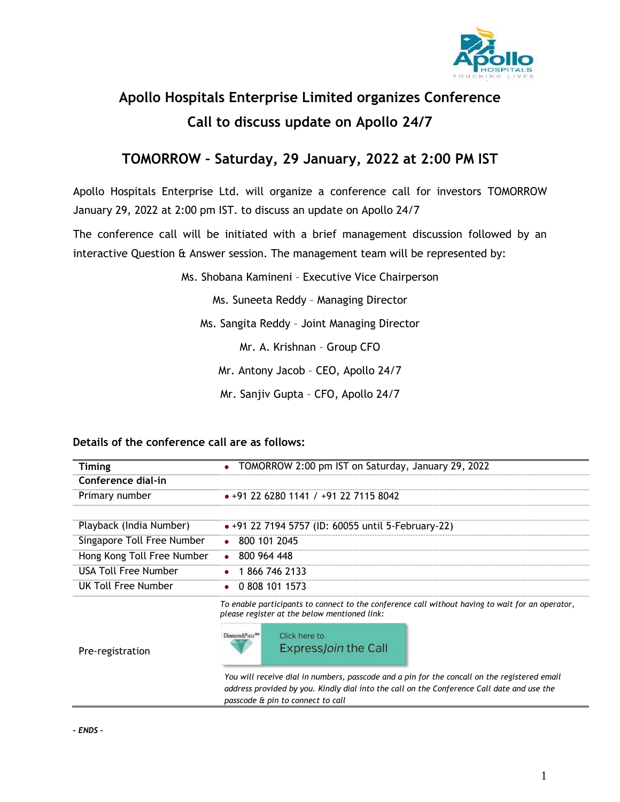

## **Apollo Hospitals Enterprise Limited organizes Conference Call to discuss update on Apollo 24/7**

### **TOMORROW – Saturday, 29 January, 2022 at 2:00 PM IST**

Apollo Hospitals Enterprise Ltd. will organize a conference call for investors TOMORROW January 29, 2022 at 2:00 pm IST. to discuss an update on Apollo 24/7

The conference call will be initiated with a brief management discussion followed by an interactive Question & Answer session. The management team will be represented by:

Ms. Shobana Kamineni – Executive Vice Chairperson

Ms. Suneeta Reddy – Managing Director

Ms. Sangita Reddy – Joint Managing Director

Mr. A. Krishnan – Group CFO

Mr. Antony Jacob – CEO, Apollo 24/7

Mr. Sanjiv Gupta – CFO, Apollo 24/7

#### **Details of the conference call are as follows:**

| Timing                     | TOMORROW 2:00 pm IST on Saturday, January 29, 2022                                                                                                                                                                              |
|----------------------------|---------------------------------------------------------------------------------------------------------------------------------------------------------------------------------------------------------------------------------|
| Conference dial-in         |                                                                                                                                                                                                                                 |
| Primary number             | $\bullet$ +91 22 6280 1141 / +91 22 7115 8042                                                                                                                                                                                   |
|                            |                                                                                                                                                                                                                                 |
| Playback (India Number)    | • +91 22 7194 5757 (ID: 60055 until 5-February-22)                                                                                                                                                                              |
| Singapore Toll Free Number | $\bullet$ 800 101 2045                                                                                                                                                                                                          |
| Hong Kong Toll Free Number | $\bullet$ 800 964 448                                                                                                                                                                                                           |
| USA Toll Free Number       | 1866 746 2133                                                                                                                                                                                                                   |
| UK Toll Free Number        | 0 808 101 1573                                                                                                                                                                                                                  |
|                            | To enable participants to connect to the conference call without having to wait for an operator,<br>please register at the below mentioned link:                                                                                |
| Pre-registration           | DiamondPass <sup>TM</sup><br>Click here to<br>Express <i>Join</i> the Call                                                                                                                                                      |
|                            | You will receive dial in numbers, passcode and a pin for the concall on the registered email<br>address provided by you. Kindly dial into the call on the Conference Call date and use the<br>passcode & pin to connect to call |